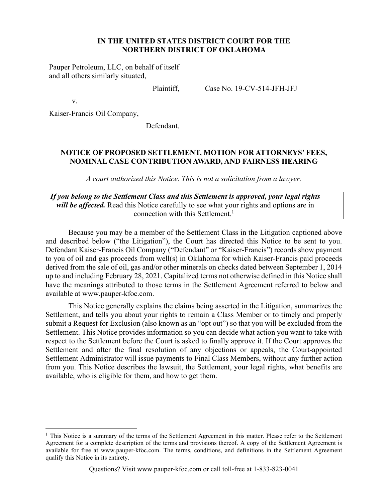#### **IN THE UNITED STATES DISTRICT COURT FOR THE NORTHERN DISTRICT OF OKLAHOMA**

Pauper Petroleum, LLC, on behalf of itself and all others similarly situated,

Plaintiff,

Case No. 19-CV-514-JFH-JFJ

v.

Kaiser-Francis Oil Company,

Defendant.

## **NOTICE OF PROPOSED SETTLEMENT, MOTION FOR ATTORNEYS' FEES, NOMINAL CASE CONTRIBUTION AWARD, AND FAIRNESS HEARING**

*A court authorized this Notice. This is not a solicitation from a lawyer.* 

*If you belong to the Settlement Class and this Settlement is approved, your legal rights will be affected.* Read this Notice carefully to see what your rights and options are in connection with this Settlement.<sup>1</sup>

Because you may be a member of the Settlement Class in the Litigation captioned above and described below ("the Litigation"), the Court has directed this Notice to be sent to you. Defendant Kaiser-Francis Oil Company ("Defendant" or "Kaiser-Francis") records show payment to you of oil and gas proceeds from well(s) in Oklahoma for which Kaiser-Francis paid proceeds derived from the sale of oil, gas and/or other minerals on checks dated between September 1, 2014 up to and including February 28, 2021. Capitalized terms not otherwise defined in this Notice shall have the meanings attributed to those terms in the Settlement Agreement referred to below and available at www.pauper-kfoc.com.

This Notice generally explains the claims being asserted in the Litigation, summarizes the Settlement, and tells you about your rights to remain a Class Member or to timely and properly submit a Request for Exclusion (also known as an "opt out") so that you will be excluded from the Settlement. This Notice provides information so you can decide what action you want to take with respect to the Settlement before the Court is asked to finally approve it. If the Court approves the Settlement and after the final resolution of any objections or appeals, the Court-appointed Settlement Administrator will issue payments to Final Class Members, without any further action from you. This Notice describes the lawsuit, the Settlement, your legal rights, what benefits are available, who is eligible for them, and how to get them.

 $<sup>1</sup>$  This Notice is a summary of the terms of the Settlement Agreement in this matter. Please refer to the Settlement</sup> Agreement for a complete description of the terms and provisions thereof. A copy of the Settlement Agreement is available for free at www.pauper-kfoc.com. The terms, conditions, and definitions in the Settlement Agreement qualify this Notice in its entirety.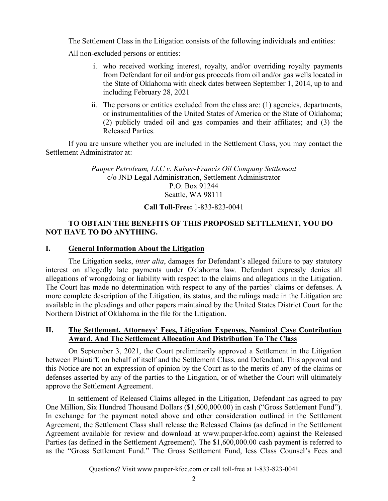The Settlement Class in the Litigation consists of the following individuals and entities:

All non-excluded persons or entities:

- i. who received working interest, royalty, and/or overriding royalty payments from Defendant for oil and/or gas proceeds from oil and/or gas wells located in the State of Oklahoma with check dates between September 1, 2014, up to and including February 28, 2021
- ii. The persons or entities excluded from the class are: (1) agencies, departments, or instrumentalities of the United States of America or the State of Oklahoma; (2) publicly traded oil and gas companies and their affiliates; and (3) the Released Parties.

If you are unsure whether you are included in the Settlement Class, you may contact the Settlement Administrator at:

> *Pauper Petroleum, LLC v. Kaiser-Francis Oil Company Settlement* c/o JND Legal Administration, Settlement Administrator P.O. Box 91244 Seattle, WA 98111

**Call Toll-Free:** 1-833-823-0041

# **TO OBTAIN THE BENEFITS OF THIS PROPOSED SETTLEMENT, YOU DO NOT HAVE TO DO ANYTHING.**

## **I. General Information About the Litigation**

The Litigation seeks, *inter alia*, damages for Defendant's alleged failure to pay statutory interest on allegedly late payments under Oklahoma law. Defendant expressly denies all allegations of wrongdoing or liability with respect to the claims and allegations in the Litigation. The Court has made no determination with respect to any of the parties' claims or defenses. A more complete description of the Litigation, its status, and the rulings made in the Litigation are available in the pleadings and other papers maintained by the United States District Court for the Northern District of Oklahoma in the file for the Litigation.

### **II. The Settlement, Attorneys' Fees, Litigation Expenses, Nominal Case Contribution Award, And The Settlement Allocation And Distribution To The Class**

On September 3, 2021, the Court preliminarily approved a Settlement in the Litigation between Plaintiff, on behalf of itself and the Settlement Class, and Defendant. This approval and this Notice are not an expression of opinion by the Court as to the merits of any of the claims or defenses asserted by any of the parties to the Litigation, or of whether the Court will ultimately approve the Settlement Agreement.

In settlement of Released Claims alleged in the Litigation, Defendant has agreed to pay One Million, Six Hundred Thousand Dollars (\$1,600,000.00) in cash ("Gross Settlement Fund"). In exchange for the payment noted above and other consideration outlined in the Settlement Agreement, the Settlement Class shall release the Released Claims (as defined in the Settlement Agreement available for review and download at www.pauper-kfoc.com) against the Released Parties (as defined in the Settlement Agreement). The \$1,600,000.00 cash payment is referred to as the "Gross Settlement Fund." The Gross Settlement Fund, less Class Counsel's Fees and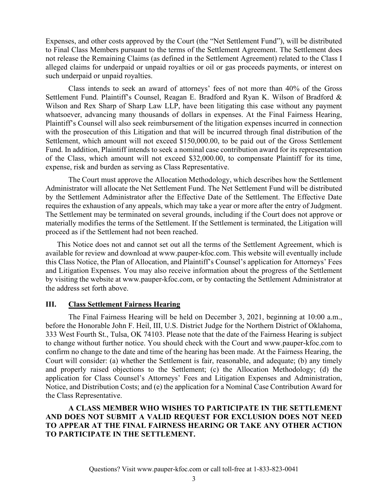Expenses, and other costs approved by the Court (the "Net Settlement Fund"), will be distributed to Final Class Members pursuant to the terms of the Settlement Agreement. The Settlement does not release the Remaining Claims (as defined in the Settlement Agreement) related to the Class I alleged claims for underpaid or unpaid royalties or oil or gas proceeds payments, or interest on such underpaid or unpaid royalties.

Class intends to seek an award of attorneys' fees of not more than 40% of the Gross Settlement Fund. Plaintiff's Counsel, Reagan E. Bradford and Ryan K. Wilson of Bradford & Wilson and Rex Sharp of Sharp Law LLP, have been litigating this case without any payment whatsoever, advancing many thousands of dollars in expenses. At the Final Fairness Hearing, Plaintiff's Counsel will also seek reimbursement of the litigation expenses incurred in connection with the prosecution of this Litigation and that will be incurred through final distribution of the Settlement, which amount will not exceed \$150,000.00, to be paid out of the Gross Settlement Fund. In addition, Plaintiff intends to seek a nominal case contribution award for its representation of the Class, which amount will not exceed \$32,000.00, to compensate Plaintiff for its time, expense, risk and burden as serving as Class Representative.

The Court must approve the Allocation Methodology, which describes how the Settlement Administrator will allocate the Net Settlement Fund. The Net Settlement Fund will be distributed by the Settlement Administrator after the Effective Date of the Settlement. The Effective Date requires the exhaustion of any appeals, which may take a year or more after the entry of Judgment. The Settlement may be terminated on several grounds, including if the Court does not approve or materially modifies the terms of the Settlement. If the Settlement is terminated, the Litigation will proceed as if the Settlement had not been reached.

This Notice does not and cannot set out all the terms of the Settlement Agreement, which is available for review and download at www.pauper-kfoc.com. This website will eventually include this Class Notice, the Plan of Allocation, and Plaintiff's Counsel's application for Attorneys' Fees and Litigation Expenses. You may also receive information about the progress of the Settlement by visiting the website at www.pauper-kfoc.com, or by contacting the Settlement Administrator at the address set forth above.

#### **III. Class Settlement Fairness Hearing**

The Final Fairness Hearing will be held on December 3, 2021, beginning at 10:00 a.m., before the Honorable John F. Heil, III, U.S. District Judge for the Northern District of Oklahoma, 333 West Fourth St., Tulsa, OK 74103. Please note that the date of the Fairness Hearing is subject to change without further notice. You should check with the Court and www.pauper-kfoc.com to confirm no change to the date and time of the hearing has been made. At the Fairness Hearing, the Court will consider: (a) whether the Settlement is fair, reasonable, and adequate; (b) any timely and properly raised objections to the Settlement; (c) the Allocation Methodology; (d) the application for Class Counsel's Attorneys' Fees and Litigation Expenses and Administration, Notice, and Distribution Costs; and (e) the application for a Nominal Case Contribution Award for the Class Representative.

**A CLASS MEMBER WHO WISHES TO PARTICIPATE IN THE SETTLEMENT AND DOES NOT SUBMIT A VALID REQUEST FOR EXCLUSION DOES NOT NEED TO APPEAR AT THE FINAL FAIRNESS HEARING OR TAKE ANY OTHER ACTION TO PARTICIPATE IN THE SETTLEMENT.**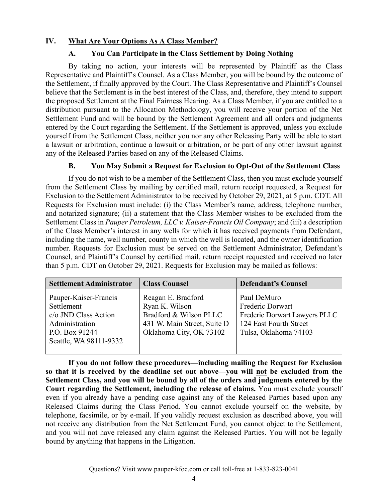### **IV. What Are Your Options As A Class Member?**

### **A. You Can Participate in the Class Settlement by Doing Nothing**

By taking no action, your interests will be represented by Plaintiff as the Class Representative and Plaintiff's Counsel. As a Class Member, you will be bound by the outcome of the Settlement, if finally approved by the Court. The Class Representative and Plaintiff's Counsel believe that the Settlement is in the best interest of the Class, and, therefore, they intend to support the proposed Settlement at the Final Fairness Hearing. As a Class Member, if you are entitled to a distribution pursuant to the Allocation Methodology, you will receive your portion of the Net Settlement Fund and will be bound by the Settlement Agreement and all orders and judgments entered by the Court regarding the Settlement. If the Settlement is approved, unless you exclude yourself from the Settlement Class, neither you nor any other Releasing Party will be able to start a lawsuit or arbitration, continue a lawsuit or arbitration, or be part of any other lawsuit against any of the Released Parties based on any of the Released Claims.

### **B. You May Submit a Request for Exclusion to Opt-Out of the Settlement Class**

If you do not wish to be a member of the Settlement Class, then you must exclude yourself from the Settlement Class by mailing by certified mail, return receipt requested, a Request for Exclusion to the Settlement Administrator to be received by October 29, 2021, at 5 p.m. CDT. All Requests for Exclusion must include: (i) the Class Member's name, address, telephone number, and notarized signature; (ii) a statement that the Class Member wishes to be excluded from the Settlement Class in *Pauper Petroleum, LLC v. Kaiser-Francis Oil Company*; and (iii) a description of the Class Member's interest in any wells for which it has received payments from Defendant, including the name, well number, county in which the well is located, and the owner identification number. Requests for Exclusion must be served on the Settlement Administrator, Defendant's Counsel, and Plaintiff's Counsel by certified mail, return receipt requested and received no later than 5 p.m. CDT on October 29, 2021. Requests for Exclusion may be mailed as follows:

| <b>Settlement Administrator</b>                                                                                           | <b>Class Counsel</b>                                                                                                     | <b>Defendant's Counsel</b>                                                                                          |
|---------------------------------------------------------------------------------------------------------------------------|--------------------------------------------------------------------------------------------------------------------------|---------------------------------------------------------------------------------------------------------------------|
| Pauper-Kaiser-Francis<br>Settlement<br>c/o JND Class Action<br>Administration<br>P.O. Box 91244<br>Seattle, WA 98111-9332 | Reagan E. Bradford<br>Ryan K. Wilson<br>Bradford & Wilson PLLC<br>431 W. Main Street, Suite D<br>Oklahoma City, OK 73102 | Paul DeMuro<br>Frederic Dorwart<br>Frederic Dorwart Lawyers PLLC<br>124 East Fourth Street<br>Tulsa, Oklahoma 74103 |

**If you do not follow these procedures—including mailing the Request for Exclusion so that it is received by the deadline set out above—you will not be excluded from the Settlement Class, and you will be bound by all of the orders and judgments entered by the Court regarding the Settlement, including the release of claims.** You must exclude yourself even if you already have a pending case against any of the Released Parties based upon any Released Claims during the Class Period. You cannot exclude yourself on the website, by telephone, facsimile, or by e-mail. If you validly request exclusion as described above, you will not receive any distribution from the Net Settlement Fund, you cannot object to the Settlement, and you will not have released any claim against the Released Parties. You will not be legally bound by anything that happens in the Litigation.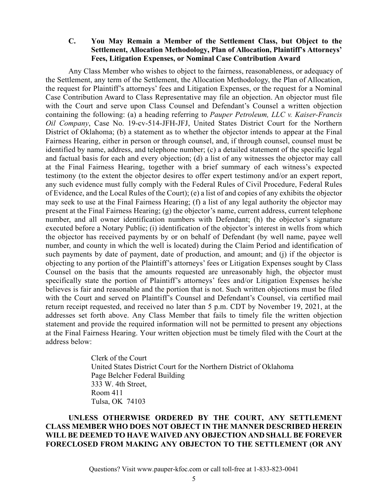#### **C. You May Remain a Member of the Settlement Class, but Object to the Settlement, Allocation Methodology, Plan of Allocation, Plaintiff's Attorneys' Fees, Litigation Expenses, or Nominal Case Contribution Award**

Any Class Member who wishes to object to the fairness, reasonableness, or adequacy of the Settlement, any term of the Settlement, the Allocation Methodology, the Plan of Allocation, the request for Plaintiff's attorneys' fees and Litigation Expenses, or the request for a Nominal Case Contribution Award to Class Representative may file an objection. An objector must file with the Court and serve upon Class Counsel and Defendant's Counsel a written objection containing the following: (a) a heading referring to *Pauper Petroleum, LLC v. Kaiser-Francis Oil Company*, Case No. 19-cv-514-JFH-JFJ, United States District Court for the Northern District of Oklahoma; (b) a statement as to whether the objector intends to appear at the Final Fairness Hearing, either in person or through counsel, and, if through counsel, counsel must be identified by name, address, and telephone number; (c) a detailed statement of the specific legal and factual basis for each and every objection; (d) a list of any witnesses the objector may call at the Final Fairness Hearing, together with a brief summary of each witness's expected testimony (to the extent the objector desires to offer expert testimony and/or an expert report, any such evidence must fully comply with the Federal Rules of Civil Procedure, Federal Rules of Evidence, and the Local Rules of the Court); (e) a list of and copies of any exhibits the objector may seek to use at the Final Fairness Hearing; (f) a list of any legal authority the objector may present at the Final Fairness Hearing; (g) the objector's name, current address, current telephone number, and all owner identification numbers with Defendant; (h) the objector's signature executed before a Notary Public; (i) identification of the objector's interest in wells from which the objector has received payments by or on behalf of Defendant (by well name, payee well number, and county in which the well is located) during the Claim Period and identification of such payments by date of payment, date of production, and amount; and (j) if the objector is objecting to any portion of the Plaintiff's attorneys' fees or Litigation Expenses sought by Class Counsel on the basis that the amounts requested are unreasonably high, the objector must specifically state the portion of Plaintiff's attorneys' fees and/or Litigation Expenses he/she believes is fair and reasonable and the portion that is not. Such written objections must be filed with the Court and served on Plaintiff's Counsel and Defendant's Counsel, via certified mail return receipt requested, and received no later than 5 p.m. CDT by November 19, 2021, at the addresses set forth above. Any Class Member that fails to timely file the written objection statement and provide the required information will not be permitted to present any objections at the Final Fairness Hearing. Your written objection must be timely filed with the Court at the address below:

> Clerk of the Court United States District Court for the Northern District of Oklahoma Page Belcher Federal Building 333 W. 4th Street, Room 411 Tulsa, OK 74103

### **UNLESS OTHERWISE ORDERED BY THE COURT, ANY SETTLEMENT CLASS MEMBER WHO DOES NOT OBJECT IN THE MANNER DESCRIBED HEREIN WILL BE DEEMED TO HAVE WAIVED ANY OBJECTION AND SHALL BE FOREVER FORECLOSED FROM MAKING ANY OBJECTON TO THE SETTLEMENT (OR ANY**